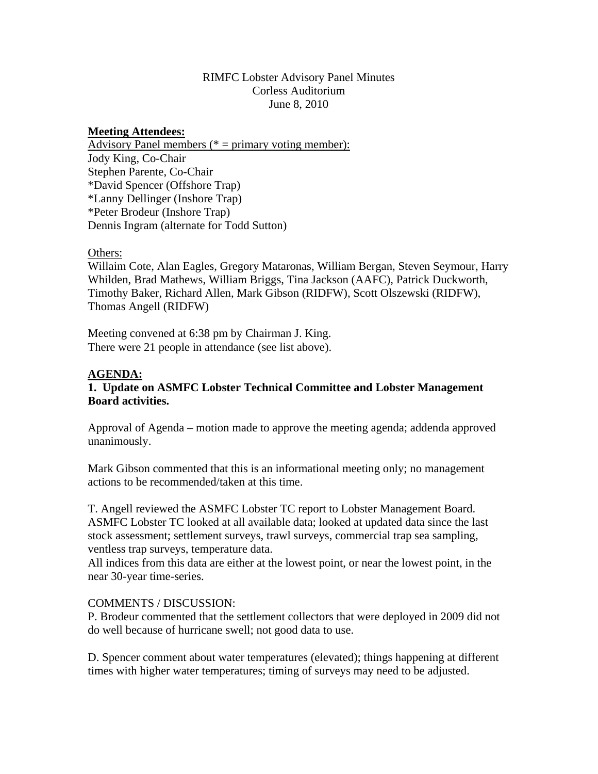## RIMFC Lobster Advisory Panel Minutes Corless Auditorium June 8, 2010

### **Meeting Attendees:**

Advisory Panel members (\* = primary voting member): Jody King, Co-Chair Stephen Parente, Co-Chair \*David Spencer (Offshore Trap) \*Lanny Dellinger (Inshore Trap) \*Peter Brodeur (Inshore Trap) Dennis Ingram (alternate for Todd Sutton)

#### Others:

Willaim Cote, Alan Eagles, Gregory Mataronas, William Bergan, Steven Seymour, Harry Whilden, Brad Mathews, William Briggs, Tina Jackson (AAFC), Patrick Duckworth, Timothy Baker, Richard Allen, Mark Gibson (RIDFW), Scott Olszewski (RIDFW), Thomas Angell (RIDFW)

Meeting convened at 6:38 pm by Chairman J. King. There were 21 people in attendance (see list above).

#### **AGENDA:**

# **1. Update on ASMFC Lobster Technical Committee and Lobster Management Board activities.**

Approval of Agenda – motion made to approve the meeting agenda; addenda approved unanimously.

Mark Gibson commented that this is an informational meeting only; no management actions to be recommended/taken at this time.

T. Angell reviewed the ASMFC Lobster TC report to Lobster Management Board. ASMFC Lobster TC looked at all available data; looked at updated data since the last stock assessment; settlement surveys, trawl surveys, commercial trap sea sampling, ventless trap surveys, temperature data.

All indices from this data are either at the lowest point, or near the lowest point, in the near 30-year time-series.

## COMMENTS / DISCUSSION:

P. Brodeur commented that the settlement collectors that were deployed in 2009 did not do well because of hurricane swell; not good data to use.

D. Spencer comment about water temperatures (elevated); things happening at different times with higher water temperatures; timing of surveys may need to be adjusted.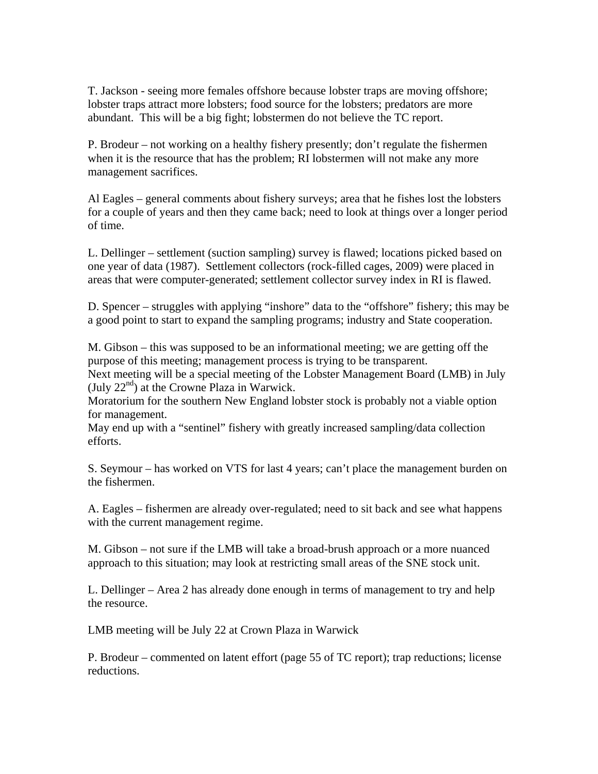T. Jackson - seeing more females offshore because lobster traps are moving offshore; lobster traps attract more lobsters; food source for the lobsters; predators are more abundant. This will be a big fight; lobstermen do not believe the TC report.

P. Brodeur – not working on a healthy fishery presently; don't regulate the fishermen when it is the resource that has the problem; RI lobstermen will not make any more management sacrifices.

Al Eagles – general comments about fishery surveys; area that he fishes lost the lobsters for a couple of years and then they came back; need to look at things over a longer period of time.

L. Dellinger – settlement (suction sampling) survey is flawed; locations picked based on one year of data (1987). Settlement collectors (rock-filled cages, 2009) were placed in areas that were computer-generated; settlement collector survey index in RI is flawed.

D. Spencer – struggles with applying "inshore" data to the "offshore" fishery; this may be a good point to start to expand the sampling programs; industry and State cooperation.

M. Gibson – this was supposed to be an informational meeting; we are getting off the purpose of this meeting; management process is trying to be transparent.

Next meeting will be a special meeting of the Lobster Management Board (LMB) in July (July  $22<sup>nd</sup>$ ) at the Crowne Plaza in Warwick.

Moratorium for the southern New England lobster stock is probably not a viable option for management.

May end up with a "sentinel" fishery with greatly increased sampling/data collection efforts.

S. Seymour – has worked on VTS for last 4 years; can't place the management burden on the fishermen.

A. Eagles – fishermen are already over-regulated; need to sit back and see what happens with the current management regime.

M. Gibson – not sure if the LMB will take a broad-brush approach or a more nuanced approach to this situation; may look at restricting small areas of the SNE stock unit.

L. Dellinger – Area 2 has already done enough in terms of management to try and help the resource.

LMB meeting will be July 22 at Crown Plaza in Warwick

P. Brodeur – commented on latent effort (page 55 of TC report); trap reductions; license reductions.